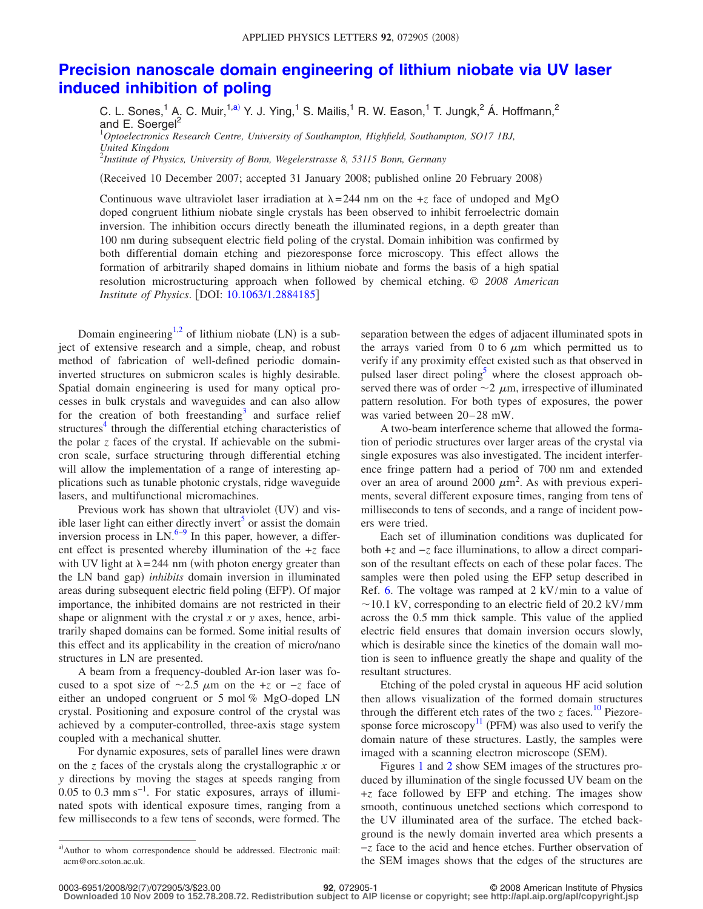## **[Precision nanoscale domain engineering of lithium niobate via UV laser](http://dx.doi.org/10.1063/1.2884185) [induced inhibition of poling](http://dx.doi.org/10.1063/1.2884185)**

C. L. Sones,<sup>1</sup> A. C. Muir,<sup>1[,a](#page-0-0))</sup> Y. J. Ying,<sup>1</sup> S. Mailis,<sup>1</sup> R. W. Eason,<sup>1</sup> T. Jungk,<sup>2</sup> Á. Hoffmann,<sup>2</sup> and E. Soergel<sup>2</sup>

1 *Optoelectronics Research Centre, University of Southampton, Highfield, Southampton, SO17 1BJ, United Kingdom*

2 *Institute of Physics, University of Bonn, Wegelerstrasse 8, 53115 Bonn, Germany*

(Received 10 December 2007; accepted 31 January 2008; published online 20 February 2008)

Continuous wave ultraviolet laser irradiation at  $\lambda = 244$  nm on the +*z* face of undoped and MgO doped congruent lithium niobate single crystals has been observed to inhibit ferroelectric domain inversion. The inhibition occurs directly beneath the illuminated regions, in a depth greater than 100 nm during subsequent electric field poling of the crystal. Domain inhibition was confirmed by both differential domain etching and piezoresponse force microscopy. This effect allows the formation of arbitrarily shaped domains in lithium niobate and forms the basis of a high spatial resolution microstructuring approach when followed by chemical etching. © *2008 American Institute of Physics.* [DOI: [10.1063/1.2884185](http://dx.doi.org/10.1063/1.2884185)]

Domain engineering<sup>1,[2](#page-2-1)</sup> of lithium niobate (LN) is a subject of extensive research and a simple, cheap, and robust method of fabrication of well-defined periodic domaininverted structures on submicron scales is highly desirable. Spatial domain engineering is used for many optical processes in bulk crystals and waveguides and can also allow for the creation of both freestanding<sup>3</sup> and surface relief structures $4$  through the differential etching characteristics of the polar *z* faces of the crystal. If achievable on the submicron scale, surface structuring through differential etching will allow the implementation of a range of interesting applications such as tunable photonic crystals, ridge waveguide lasers, and multifunctional micromachines.

Previous work has shown that ultraviolet (UV) and visible laser light can either directly invert<sup>5</sup> or assist the domain inversion process in  $LN<sup>6-9</sup>$  In this paper, however, a different effect is presented whereby illumination of the +*z* face with UV light at  $\lambda = 244$  nm (with photon energy greater than the LN band gap) *inhibits* domain inversion in illuminated areas during subsequent electric field poling (EFP). Of major importance, the inhibited domains are not restricted in their shape or alignment with the crystal *x* or *y* axes, hence, arbitrarily shaped domains can be formed. Some initial results of this effect and its applicability in the creation of micro/nano structures in LN are presented.

A beam from a frequency-doubled Ar-ion laser was focused to a spot size of  $\sim$ 2.5  $\mu$ m on the +*z* or −*z* face of either an undoped congruent or 5 mol % MgO-doped LN crystal. Positioning and exposure control of the crystal was achieved by a computer-controlled, three-axis stage system coupled with a mechanical shutter.

For dynamic exposures, sets of parallel lines were drawn on the *z* faces of the crystals along the crystallographic *x* or *y* directions by moving the stages at speeds ranging from 0.05 to 0.3 mm s<sup>-1</sup>. For static exposures, arrays of illuminated spots with identical exposure times, ranging from a few milliseconds to a few tens of seconds, were formed. The separation between the edges of adjacent illuminated spots in the arrays varied from 0 to 6  $\mu$ m which permitted us to verify if any proximity effect existed such as that observed in pulsed laser direct poling<sup>3</sup> where the closest approach observed there was of order  $\sim$  2  $\mu$ m, irrespective of illuminated pattern resolution. For both types of exposures, the power was varied between  $20-28$  mW.

A two-beam interference scheme that allowed the formation of periodic structures over larger areas of the crystal via single exposures was also investigated. The incident interference fringe pattern had a period of 700 nm and extended over an area of around 2000  $\mu$ m<sup>2</sup>. As with previous experiments, several different exposure times, ranging from tens of milliseconds to tens of seconds, and a range of incident powers were tried.

Each set of illumination conditions was duplicated for both +*z* and −*z* face illuminations, to allow a direct comparison of the resultant effects on each of these polar faces. The samples were then poled using the EFP setup described in Ref. [6.](#page-2-5) The voltage was ramped at  $2 \frac{kV}{min}$  to a value of  $\sim$ 10.1 kV, corresponding to an electric field of 20.2 kV/mm across the 0.5 mm thick sample. This value of the applied electric field ensures that domain inversion occurs slowly, which is desirable since the kinetics of the domain wall motion is seen to influence greatly the shape and quality of the resultant structures.

Etching of the poled crystal in aqueous HF acid solution then allows visualization of the formed domain structures through the different etch rates of the two  $\zeta$  faces.<sup>10</sup> Piezoresponse force microscopy $^{11}$  (PFM) was also used to verify the domain nature of these structures. Lastly, the samples were imaged with a scanning electron microscope (SEM).

Figures [1](#page-1-0) and [2](#page-1-1) show SEM images of the structures produced by illumination of the single focussed UV beam on the +*z* face followed by EFP and etching. The images show smooth, continuous unetched sections which correspond to the UV illuminated area of the surface. The etched background is the newly domain inverted area which presents a −*z* face to the acid and hence etches. Further observation of the SEM images shows that the edges of the structures are

7/072905/3/\$23.00 © 2008 American Institute of Physics **92**, 072905-1 **Downloaded 10 Nov 2009 to 152.78.208.72. Redistribution subject to AIP license or copyright; see http://apl.aip.org/apl/copyright.jsp**

<span id="page-0-0"></span>a) Author to whom correspondence should be addressed. Electronic mail: acm@orc.soton.ac.uk.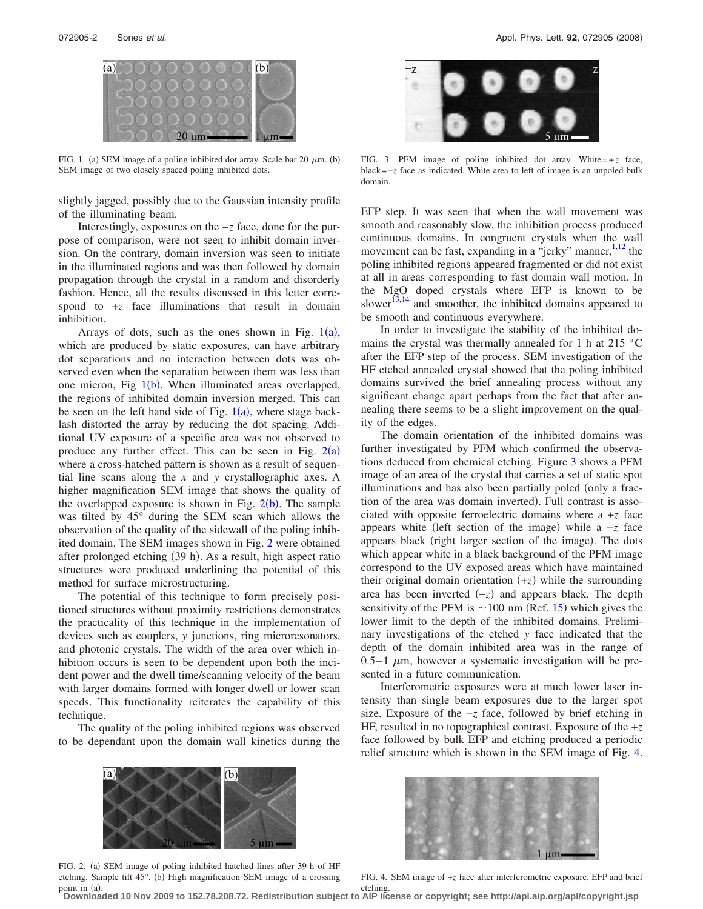<span id="page-1-0"></span>

FIG. 1. (a) SEM image of a poling inhibited dot array. Scale bar 20  $\mu$ m. (b) SEM image of two closely spaced poling inhibited dots.

slightly jagged, possibly due to the Gaussian intensity profile of the illuminating beam.

Interestingly, exposures on the −*z* face, done for the purpose of comparison, were not seen to inhibit domain inversion. On the contrary, domain inversion was seen to initiate in the illuminated regions and was then followed by domain propagation through the crystal in a random and disorderly fashion. Hence, all the results discussed in this letter correspond to  $+z$  face illuminations that result in domain inhibition.

Arrays of dots, such as the ones shown in Fig.  $1(a)$  $1(a)$ , which are produced by static exposures, can have arbitrary dot separations and no interaction between dots was observed even when the separation between them was less than one micron, Fig  $1(b)$  $1(b)$ . When illuminated areas overlapped, the regions of inhibited domain inversion merged. This can be seen on the left hand side of Fig.  $1(a)$  $1(a)$ , where stage backlash distorted the array by reducing the dot spacing. Additional UV exposure of a specific area was not observed to produce any further effect. This can be seen in Fig.  $2(a)$  $2(a)$ where a cross-hatched pattern is shown as a result of sequential line scans along the *x* and *y* crystallographic axes. A higher magnification SEM image that shows the quality of the overlapped exposure is shown in Fig.  $2(b)$  $2(b)$ . The sample was tilted by 45° during the SEM scan which allows the observation of the quality of the sidewall of the poling inhibited domain. The SEM images shown in Fig. [2](#page-1-1) were obtained after prolonged etching (39 h). As a result, high aspect ratio structures were produced underlining the potential of this method for surface microstructuring.

The potential of this technique to form precisely positioned structures without proximity restrictions demonstrates the practicality of this technique in the implementation of devices such as couplers, *y* junctions, ring microresonators, and photonic crystals. The width of the area over which inhibition occurs is seen to be dependent upon both the incident power and the dwell time/scanning velocity of the beam with larger domains formed with longer dwell or lower scan speeds. This functionality reiterates the capability of this technique.

<span id="page-1-1"></span>The quality of the poling inhibited regions was observed to be dependant upon the domain wall kinetics during the

<span id="page-1-2"></span>

FIG. 3. PFM image of poling inhibited dot array. White= $+z$  face, black=−*z* face as indicated. White area to left of image is an unpoled bulk domain.

EFP step. It was seen that when the wall movement was smooth and reasonably slow, the inhibition process produced continuous domains. In congruent crystals when the wall movement can be fast, expanding in a "jerky" manner,  $1,12$  $1,12$  $1,12$  the poling inhibited regions appeared fragmented or did not exist at all in areas corresponding to fast domain wall motion. In the MgO doped crystals where EFP is known to be slower<sup>13,[14](#page-2-11)</sup> and smoother, the inhibited domains appeared to be smooth and continuous everywhere.

In order to investigate the stability of the inhibited domains the crystal was thermally annealed for 1 h at 215 °C after the EFP step of the process. SEM investigation of the HF etched annealed crystal showed that the poling inhibited domains survived the brief annealing process without any significant change apart perhaps from the fact that after annealing there seems to be a slight improvement on the quality of the edges.

The domain orientation of the inhibited domains was further investigated by PFM which confirmed the observations deduced from chemical etching. Figure [3](#page-1-2) shows a PFM image of an area of the crystal that carries a set of static spot illuminations and has also been partially poled (only a fraction of the area was domain inverted). Full contrast is associated with opposite ferroelectric domains where a +*z* face appears white (left section of the image) while a -*z* face appears black (right larger section of the image). The dots which appear white in a black background of the PFM image correspond to the UV exposed areas which have maintained their original domain orientation  $(+z)$  while the surrounding area has been inverted  $(-z)$  and appears black. The depth sensitivity of the PFM is  $\sim$  100 nm (Ref. [15](#page-2-12)) which gives the lower limit to the depth of the inhibited domains. Preliminary investigations of the etched *y* face indicated that the depth of the domain inhibited area was in the range of  $0.5-1$   $\mu$ m, however a systematic investigation will be presented in a future communication.

Interferometric exposures were at much lower laser intensity than single beam exposures due to the larger spot size. Exposure of the −*z* face, followed by brief etching in HF, resulted in no topographical contrast. Exposure of the +*z* face followed by bulk EFP and etching produced a periodic relief structure which is shown in the SEM image of Fig. [4.](#page-1-3)



FIG. 2. (a) SEM image of poling inhibited hatched lines after 39 h of HF etching. Sample tilt 45°. (b) High magnification SEM image of a crossing point in (a).

<span id="page-1-3"></span>

FIG. 4. SEM image of +*z* face after interferometric exposure, EFP and brief

etching. **Downloaded 10 Nov 2009 to 152.78.208.72. Redistribution subject to AIP license or copyright; see http://apl.aip.org/apl/copyright.jsp**